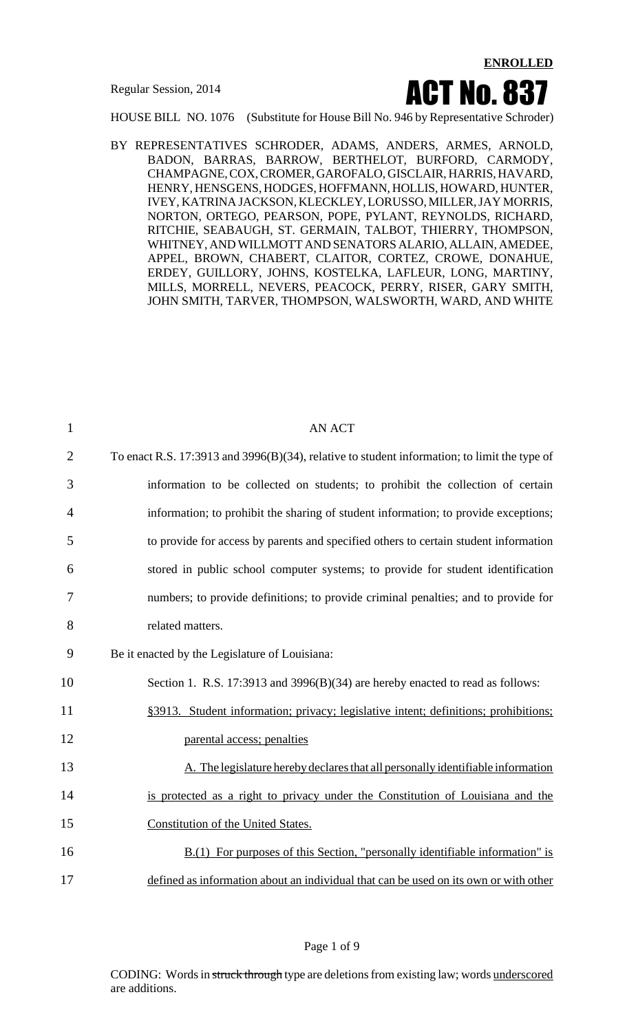

HOUSE BILL NO. 1076 (Substitute for House Bill No. 946 by Representative Schroder)

BY REPRESENTATIVES SCHRODER, ADAMS, ANDERS, ARMES, ARNOLD, BADON, BARRAS, BARROW, BERTHELOT, BURFORD, CARMODY, CHAMPAGNE, COX, CROMER, GAROFALO, GISCLAIR, HARRIS, HAVARD, HENRY, HENSGENS, HODGES, HOFFMANN, HOLLIS, HOWARD, HUNTER, IVEY, KATRINA JACKSON, KLECKLEY,LORUSSO, MILLER,JAY MORRIS, NORTON, ORTEGO, PEARSON, POPE, PYLANT, REYNOLDS, RICHARD, RITCHIE, SEABAUGH, ST. GERMAIN, TALBOT, THIERRY, THOMPSON, WHITNEY, ANDWILLMOTT AND SENATORS ALARIO, ALLAIN, AMEDEE, APPEL, BROWN, CHABERT, CLAITOR, CORTEZ, CROWE, DONAHUE, ERDEY, GUILLORY, JOHNS, KOSTELKA, LAFLEUR, LONG, MARTINY, MILLS, MORRELL, NEVERS, PEACOCK, PERRY, RISER, GARY SMITH, JOHN SMITH, TARVER, THOMPSON, WALSWORTH, WARD, AND WHITE

| $\mathbf{1}$   | <b>AN ACT</b>                                                                                |
|----------------|----------------------------------------------------------------------------------------------|
| $\overline{2}$ | To enact R.S. 17:3913 and 3996(B)(34), relative to student information; to limit the type of |
| 3              | information to be collected on students; to prohibit the collection of certain               |
| $\overline{4}$ | information; to prohibit the sharing of student information; to provide exceptions;          |
| 5              | to provide for access by parents and specified others to certain student information         |
| 6              | stored in public school computer systems; to provide for student identification              |
| 7              | numbers; to provide definitions; to provide criminal penalties; and to provide for           |
| 8              | related matters.                                                                             |
| 9              | Be it enacted by the Legislature of Louisiana:                                               |
| 10             | Section 1. R.S. 17:3913 and 3996(B)(34) are hereby enacted to read as follows:               |
| 11             | §3913. Student information; privacy; legislative intent; definitions; prohibitions;          |
| 12             | parental access; penalties                                                                   |
| 13             | A. The legislature hereby declares that all personally identifiable information              |
| 14             | is protected as a right to privacy under the Constitution of Louisiana and the               |
| 15             | Constitution of the United States.                                                           |
| 16             | $B(1)$ For purposes of this Section, "personally identifiable information" is                |
| 17             | defined as information about an individual that can be used on its own or with other         |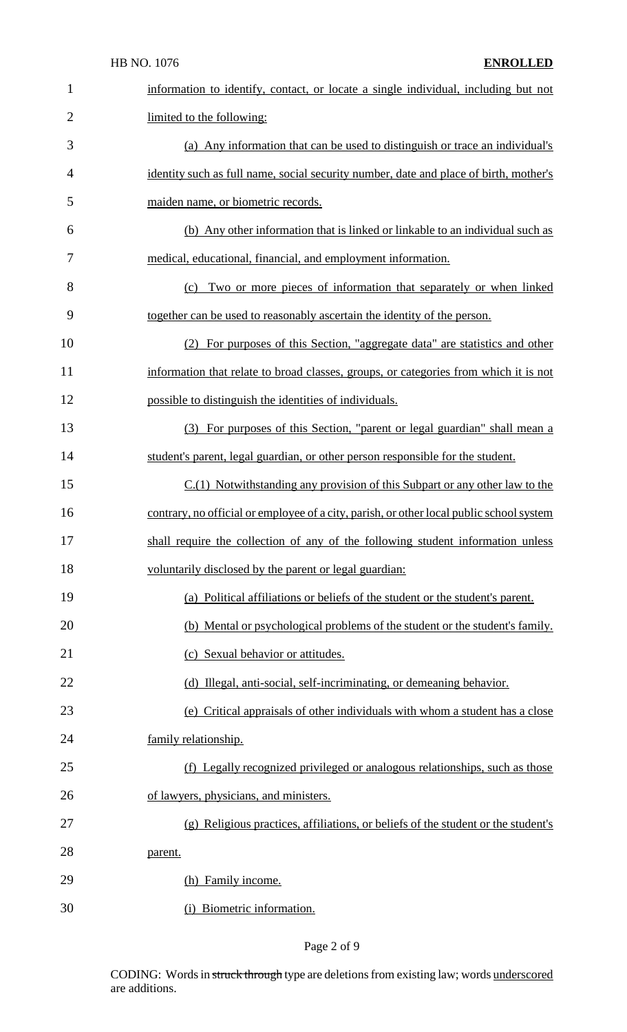|                | HB NO. 1076<br><b>ENROLLED</b>                                                           |
|----------------|------------------------------------------------------------------------------------------|
| 1              | information to identify, contact, or locate a single individual, including but not       |
| $\overline{2}$ | limited to the following:                                                                |
| 3              | (a) Any information that can be used to distinguish or trace an individual's             |
| 4              | identity such as full name, social security number, date and place of birth, mother's    |
| 5              | maiden name, or biometric records.                                                       |
| 6              | (b) Any other information that is linked or linkable to an individual such as            |
| 7              | medical, educational, financial, and employment information.                             |
| 8              | Two or more pieces of information that separately or when linked<br>(c)                  |
| 9              | together can be used to reasonably ascertain the identity of the person.                 |
| 10             | (2) For purposes of this Section, "aggregate data" are statistics and other              |
| 11             | information that relate to broad classes, groups, or categories from which it is not     |
| 12             | possible to distinguish the identities of individuals.                                   |
| 13             | (3) For purposes of this Section, "parent or legal guardian" shall mean a                |
| 14             | student's parent, legal guardian, or other person responsible for the student.           |
| 15             | $C(1)$ Notwithstanding any provision of this Subpart or any other law to the             |
| 16             | contrary, no official or employee of a city, parish, or other local public school system |
| 17             | shall require the collection of any of the following student information unless          |
| 18             | voluntarily disclosed by the parent or legal guardian:                                   |
| 19             | (a) Political affiliations or beliefs of the student or the student's parent.            |
| 20             | (b) Mental or psychological problems of the student or the student's family.             |
| 21             | (c) Sexual behavior or attitudes.                                                        |
| 22             | (d) Illegal, anti-social, self-incriminating, or demeaning behavior.                     |
| 23             | (e) Critical appraisals of other individuals with whom a student has a close             |
| 24             | family relationship.                                                                     |
| 25             | (f) Legally recognized privileged or analogous relationships, such as those              |
| 26             | of lawyers, physicians, and ministers.                                                   |
| 27             | (g) Religious practices, affiliations, or beliefs of the student or the student's        |
| 28             | parent.                                                                                  |
| 29             | (h) Family income.                                                                       |
| 30             | (i) Biometric information.                                                               |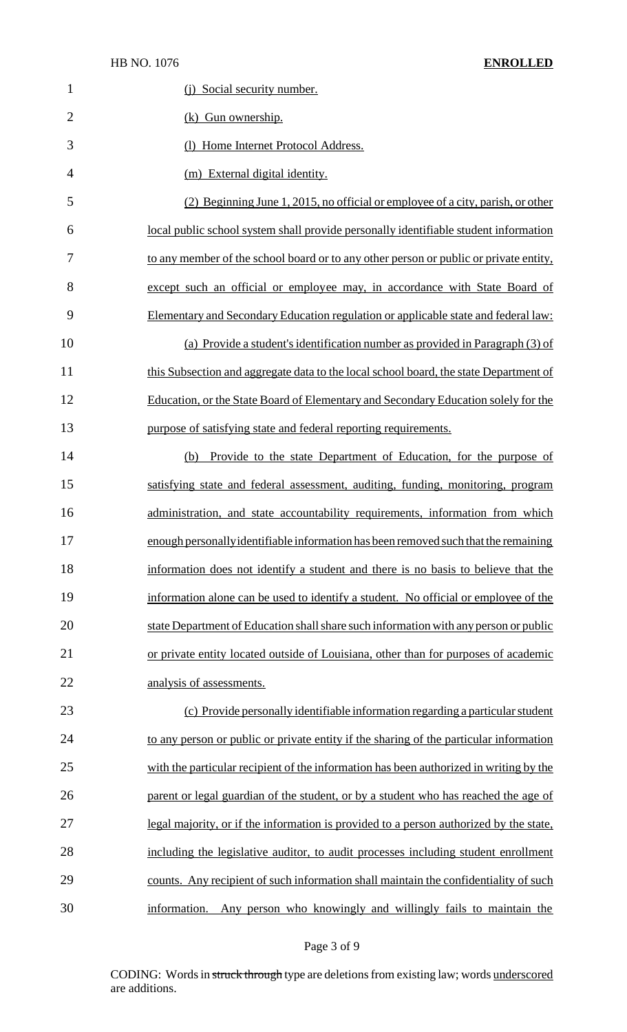| $\mathbf{1}$   | (j) Social security number.                                                            |
|----------------|----------------------------------------------------------------------------------------|
| $\overline{2}$ | (k) Gun ownership.                                                                     |
| 3              | (1) Home Internet Protocol Address.                                                    |
| 4              | (m) External digital identity.                                                         |
| 5              | (2) Beginning June 1, 2015, no official or employee of a city, parish, or other        |
| 6              | local public school system shall provide personally identifiable student information   |
| 7              | to any member of the school board or to any other person or public or private entity,  |
| 8              | except such an official or employee may, in accordance with State Board of             |
| 9              | Elementary and Secondary Education regulation or applicable state and federal law:     |
| 10             | (a) Provide a student's identification number as provided in Paragraph (3) of          |
| 11             | this Subsection and aggregate data to the local school board, the state Department of  |
| 12             | Education, or the State Board of Elementary and Secondary Education solely for the     |
| 13             | purpose of satisfying state and federal reporting requirements.                        |
| 14             | (b) Provide to the state Department of Education, for the purpose of                   |
| 15             | satisfying state and federal assessment, auditing, funding, monitoring, program        |
| 16             | administration, and state accountability requirements, information from which          |
| 17             | enough personally identifiable information has been removed such that the remaining    |
| 18             | information does not identify a student and there is no basis to believe that the      |
| 19             | information alone can be used to identify a student. No official or employee of the    |
| 20             | state Department of Education shall share such information with any person or public   |
| 21             | or private entity located outside of Louisiana, other than for purposes of academic    |
| 22             | analysis of assessments.                                                               |
| 23             | (c) Provide personally identifiable information regarding a particular student         |
| 24             | to any person or public or private entity if the sharing of the particular information |
| 25             | with the particular recipient of the information has been authorized in writing by the |
| 26             | parent or legal guardian of the student, or by a student who has reached the age of    |
| 27             | legal majority, or if the information is provided to a person authorized by the state, |
| 28             | including the legislative auditor, to audit processes including student enrollment     |
| 29             | counts. Any recipient of such information shall maintain the confidentiality of such   |
| 30             | Any person who knowingly and willingly fails to maintain the<br>information.           |

## Page 3 of 9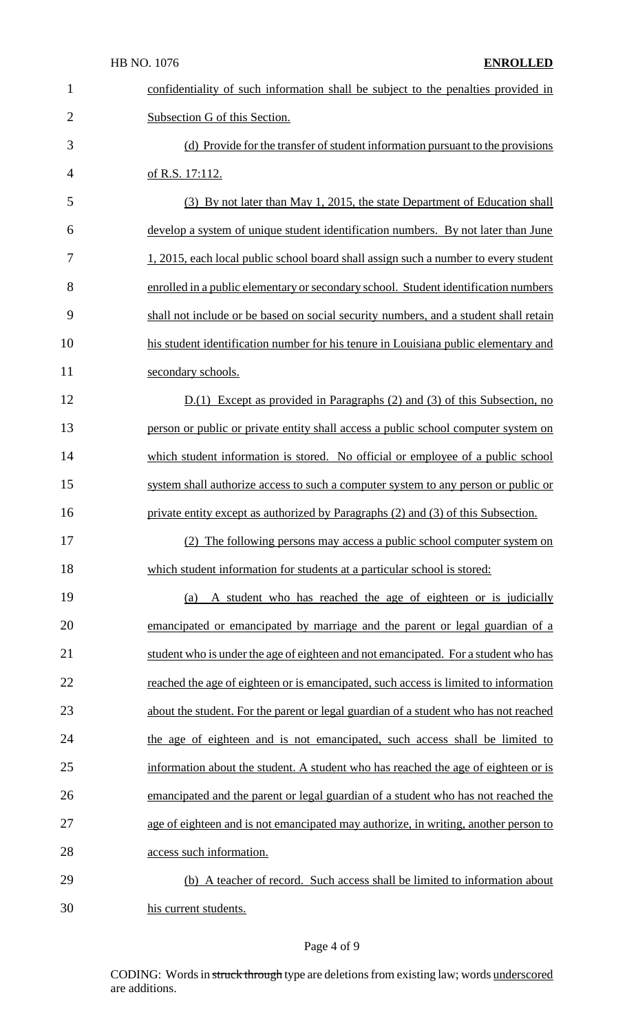| $\mathbf{1}$   | confidentiality of such information shall be subject to the penalties provided in    |
|----------------|--------------------------------------------------------------------------------------|
| $\overline{2}$ | Subsection G of this Section.                                                        |
| 3              | (d) Provide for the transfer of student information pursuant to the provisions       |
| $\overline{4}$ | of R.S. 17:112.                                                                      |
| 5              | (3) By not later than May 1, 2015, the state Department of Education shall           |
| 6              | develop a system of unique student identification numbers. By not later than June    |
| 7              | 1, 2015, each local public school board shall assign such a number to every student  |
| 8              | enrolled in a public elementary or secondary school. Student identification numbers  |
| 9              | shall not include or be based on social security numbers, and a student shall retain |
| 10             | his student identification number for his tenure in Louisiana public elementary and  |
| 11             | secondary schools.                                                                   |
| 12             | $D(1)$ Except as provided in Paragraphs (2) and (3) of this Subsection, no           |
| 13             | person or public or private entity shall access a public school computer system on   |
| 14             | which student information is stored. No official or employee of a public school      |
| 15             | system shall authorize access to such a computer system to any person or public or   |
| 16             | private entity except as authorized by Paragraphs (2) and (3) of this Subsection.    |
| 17             | (2) The following persons may access a public school computer system on              |
| 18             | which student information for students at a particular school is stored:             |
| 19             | A student who has reached the age of eighteen or is judicially<br>(a)                |
| 20             | emancipated or emancipated by marriage and the parent or legal guardian of a         |
| 21             | student who is under the age of eighteen and not emancipated. For a student who has  |
| 22             | reached the age of eighteen or is emancipated, such access is limited to information |
| 23             | about the student. For the parent or legal guardian of a student who has not reached |
| 24             | the age of eighteen and is not emancipated, such access shall be limited to          |
| 25             | information about the student. A student who has reached the age of eighteen or is   |
| 26             | emancipated and the parent or legal guardian of a student who has not reached the    |
| 27             | age of eighteen and is not emancipated may authorize, in writing, another person to  |
| 28             | access such information.                                                             |
| 29             | (b) A teacher of record. Such access shall be limited to information about           |
| 30             | his current students.                                                                |

## Page 4 of 9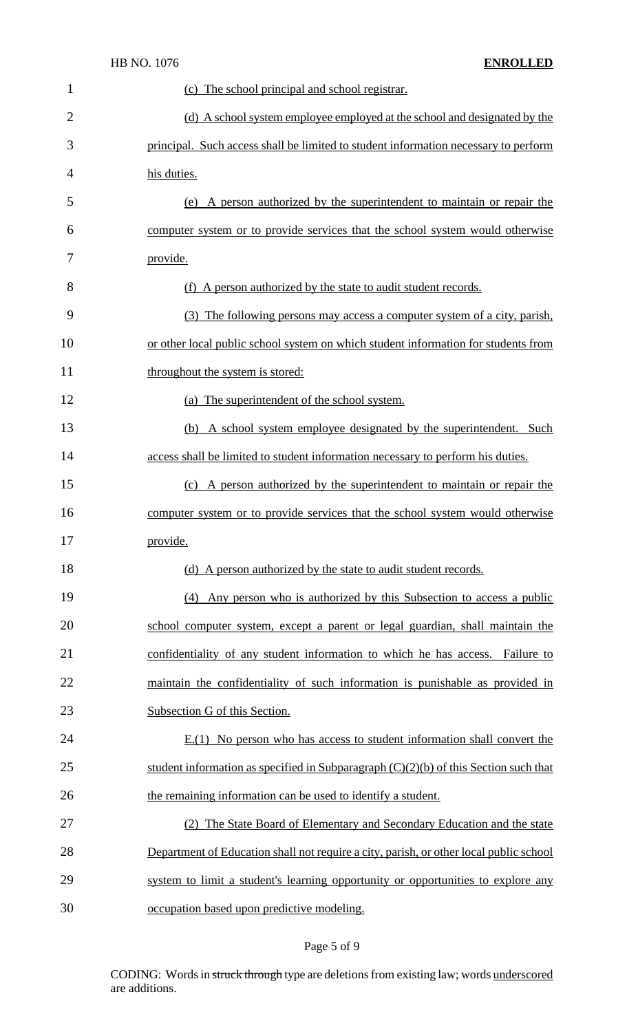|                | HB NO. 1076<br><b>ENROLLED</b>                                                         |
|----------------|----------------------------------------------------------------------------------------|
| 1              | (c) The school principal and school registrar.                                         |
| $\overline{2}$ | (d) A school system employee employed at the school and designated by the              |
| 3              | principal. Such access shall be limited to student information necessary to perform    |
| 4              | his duties.                                                                            |
| 5              | A person authorized by the superintendent to maintain or repair the<br>(e)             |
| 6              | computer system or to provide services that the school system would otherwise          |
| 7              | provide.                                                                               |
| 8              | (f) A person authorized by the state to audit student records.                         |
| 9              | (3) The following persons may access a computer system of a city, parish,              |
| 10             | or other local public school system on which student information for students from     |
| 11             | throughout the system is stored:                                                       |
| 12             | (a) The superintendent of the school system.                                           |
| 13             | (b) A school system employee designated by the superintendent. Such                    |
| 14             | access shall be limited to student information necessary to perform his duties.        |
| 15             | A person authorized by the superintendent to maintain or repair the<br>(c)             |
| 16             | computer system or to provide services that the school system would otherwise          |
| 17             | provide.                                                                               |
| 18             | (d) A person authorized by the state to audit student records.                         |
| 19             | Any person who is authorized by this Subsection to access a public<br>(4)              |
| 20             | school computer system, except a parent or legal guardian, shall maintain the          |
| 21             | confidentiality of any student information to which he has access. Failure to          |
| 22             | maintain the confidentiality of such information is punishable as provided in          |
| 23             | Subsection G of this Section.                                                          |
| 24             | $E(1)$ No person who has access to student information shall convert the               |
| 25             | student information as specified in Subparagraph $(C)(2)(b)$ of this Section such that |
| 26             | the remaining information can be used to identify a student.                           |
| 27             | (2) The State Board of Elementary and Secondary Education and the state                |
| 28             | Department of Education shall not require a city, parish, or other local public school |
| 29             | system to limit a student's learning opportunity or opportunities to explore any       |
| 30             | occupation based upon predictive modeling.                                             |

# Page 5 of 9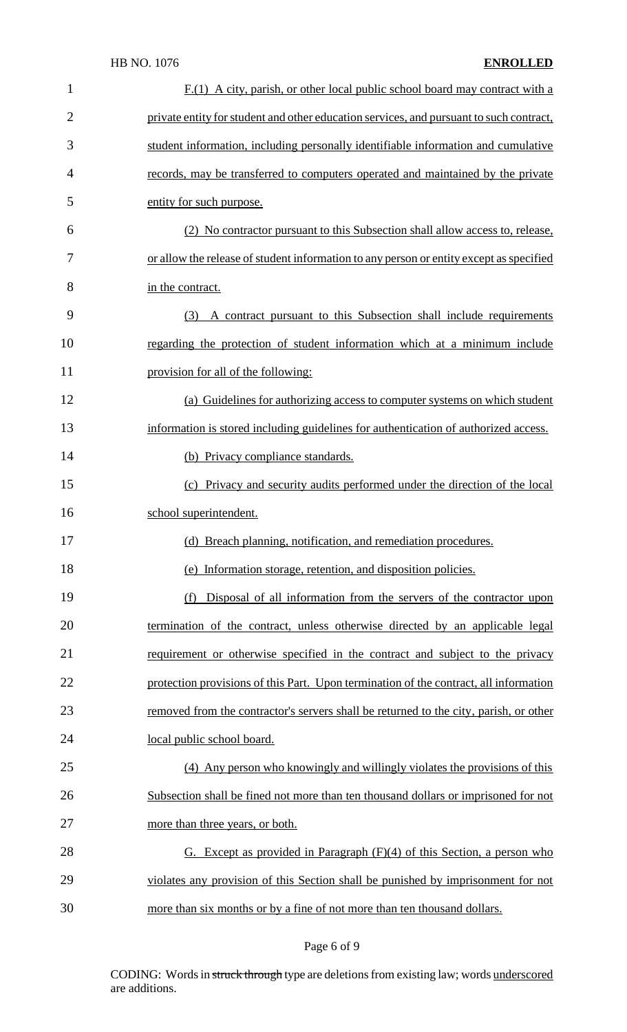#### HB NO. 1076 **ENROLLED**

| $\mathbf{1}$   | $F(1)$ A city, parish, or other local public school board may contract with a           |
|----------------|-----------------------------------------------------------------------------------------|
| $\overline{2}$ | private entity for student and other education services, and pursuant to such contract, |
| 3              | student information, including personally identifiable information and cumulative       |
| $\overline{4}$ | records, may be transferred to computers operated and maintained by the private         |
| 5              | entity for such purpose.                                                                |
| 6              | (2) No contractor pursuant to this Subsection shall allow access to, release,           |
| 7              | or allow the release of student information to any person or entity except as specified |
| 8              | in the contract.                                                                        |
| 9              | A contract pursuant to this Subsection shall include requirements<br>(3)                |
| 10             | regarding the protection of student information which at a minimum include              |
| 11             | provision for all of the following:                                                     |
| 12             | (a) Guidelines for authorizing access to computer systems on which student              |
| 13             | information is stored including guidelines for authentication of authorized access.     |
| 14             | (b) Privacy compliance standards.                                                       |
| 15             | (c) Privacy and security audits performed under the direction of the local              |
| 16             | school superintendent.                                                                  |
| 17             | (d) Breach planning, notification, and remediation procedures.                          |
| 18             | (e) Information storage, retention, and disposition policies.                           |
| 19             | Disposal of all information from the servers of the contractor upon<br>(f)              |
| 20             | termination of the contract, unless otherwise directed by an applicable legal           |
| 21             | requirement or otherwise specified in the contract and subject to the privacy           |
| 22             | protection provisions of this Part. Upon termination of the contract, all information   |
| 23             | removed from the contractor's servers shall be returned to the city, parish, or other   |
| 24             | local public school board.                                                              |
| 25             | (4) Any person who knowingly and willingly violates the provisions of this              |
| 26             | Subsection shall be fined not more than ten thousand dollars or imprisoned for not      |
| 27             | more than three years, or both.                                                         |
| 28             | G. Except as provided in Paragraph $(F)(4)$ of this Section, a person who               |
| 29             | violates any provision of this Section shall be punished by imprisonment for not        |
| 30             | more than six months or by a fine of not more than ten thousand dollars.                |

## Page 6 of 9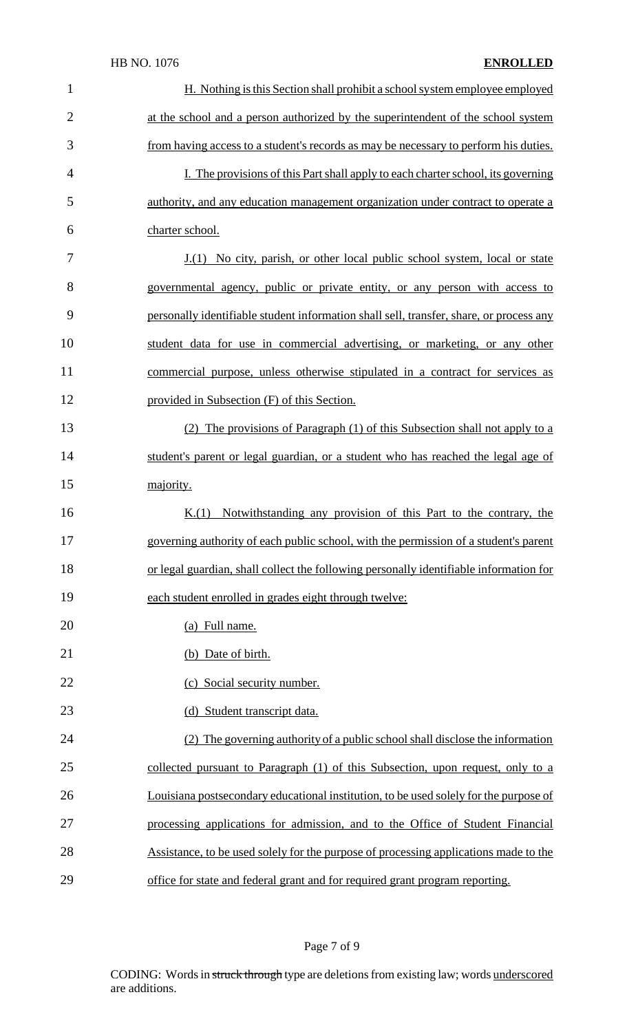#### HB NO. 1076 **ENROLLED**

| $\mathbf{1}$   | H. Nothing is this Section shall prohibit a school system employee employed             |
|----------------|-----------------------------------------------------------------------------------------|
| $\overline{2}$ | at the school and a person authorized by the superintendent of the school system        |
| 3              | from having access to a student's records as may be necessary to perform his duties.    |
| 4              | I. The provisions of this Part shall apply to each charter school, its governing        |
| 5              | authority, and any education management organization under contract to operate a        |
| 6              | charter school.                                                                         |
| 7              | <u>J.(1) No city, parish, or other local public school system, local or state</u>       |
| 8              | governmental agency, public or private entity, or any person with access to             |
| 9              | personally identifiable student information shall sell, transfer, share, or process any |
| 10             | student data for use in commercial advertising, or marketing, or any other              |
| 11             | commercial purpose, unless otherwise stipulated in a contract for services as           |
| 12             | provided in Subsection (F) of this Section.                                             |
| 13             | (2) The provisions of Paragraph (1) of this Subsection shall not apply to a             |
| 14             | student's parent or legal guardian, or a student who has reached the legal age of       |
| 15             | majority.                                                                               |
| 16             | K(1)<br>Notwithstanding any provision of this Part to the contrary, the                 |
| 17             | governing authority of each public school, with the permission of a student's parent    |
| 18             | or legal guardian, shall collect the following personally identifiable information for  |
| 19             | each student enrolled in grades eight through twelve:                                   |
| 20             | (a) Full name.                                                                          |
| 21             | (b) Date of birth.                                                                      |
| 22             | (c) Social security number.                                                             |
| 23             | (d) Student transcript data.                                                            |
| 24             | (2) The governing authority of a public school shall disclose the information           |
| 25             | collected pursuant to Paragraph (1) of this Subsection, upon request, only to a         |
| 26             | Louisiana postsecondary educational institution, to be used solely for the purpose of   |
| 27             | processing applications for admission, and to the Office of Student Financial           |
| 28             | Assistance, to be used solely for the purpose of processing applications made to the    |
| 29             | office for state and federal grant and for required grant program reporting.            |

## Page 7 of 9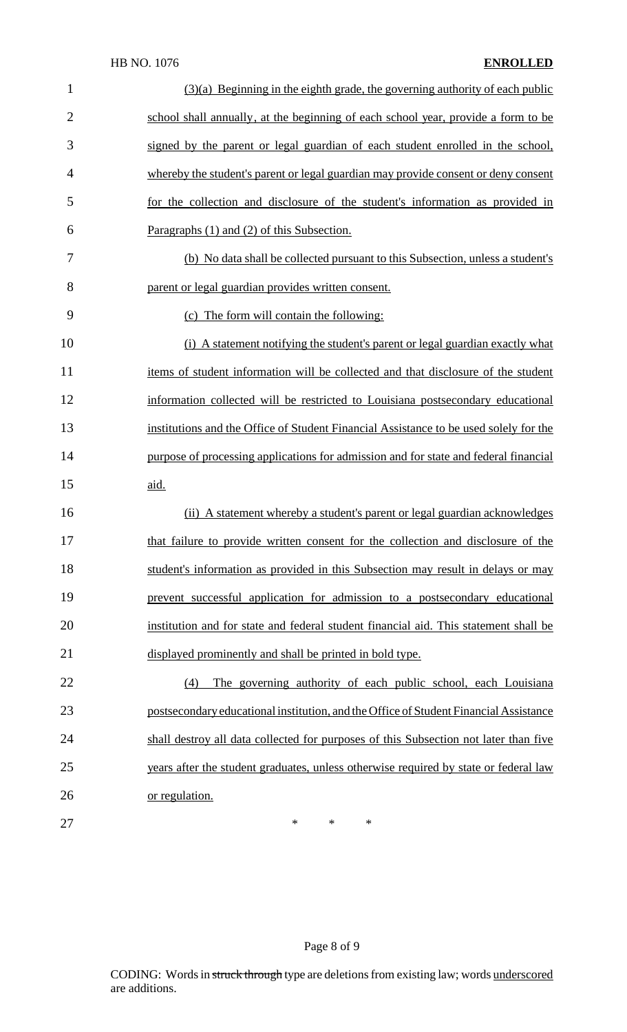| $\mathbf{1}$   | $(3)(a)$ Beginning in the eighth grade, the governing authority of each public        |
|----------------|---------------------------------------------------------------------------------------|
| $\overline{2}$ | school shall annually, at the beginning of each school year, provide a form to be     |
| 3              | signed by the parent or legal guardian of each student enrolled in the school,        |
| 4              | whereby the student's parent or legal guardian may provide consent or deny consent    |
| 5              | for the collection and disclosure of the student's information as provided in         |
| 6              | Paragraphs (1) and (2) of this Subsection.                                            |
| 7              | (b) No data shall be collected pursuant to this Subsection, unless a student's        |
| 8              | parent or legal guardian provides written consent.                                    |
| 9              | (c) The form will contain the following:                                              |
| 10             | (i) A statement notifying the student's parent or legal guardian exactly what         |
| 11             | items of student information will be collected and that disclosure of the student     |
| 12             | information collected will be restricted to Louisiana postsecondary educational       |
| 13             | institutions and the Office of Student Financial Assistance to be used solely for the |
| 14             | purpose of processing applications for admission and for state and federal financial  |
| 15             | aid.                                                                                  |
| 16             | (ii) A statement whereby a student's parent or legal guardian acknowledges            |
| 17             | that failure to provide written consent for the collection and disclosure of the      |
| 18             | student's information as provided in this Subsection may result in delays or may      |
| 19             | prevent successful application for admission to a postsecondary educational           |
| 20             | institution and for state and federal student financial aid. This statement shall be  |
| 21             | displayed prominently and shall be printed in bold type.                              |
| 22             | The governing authority of each public school, each Louisiana<br>(4)                  |
| 23             | postsecondary educational institution, and the Office of Student Financial Assistance |
| 24             | shall destroy all data collected for purposes of this Subsection not later than five  |
| 25             | years after the student graduates, unless otherwise required by state or federal law  |
| 26             | or regulation.                                                                        |
| 27             | $\ast$<br>*<br>*                                                                      |